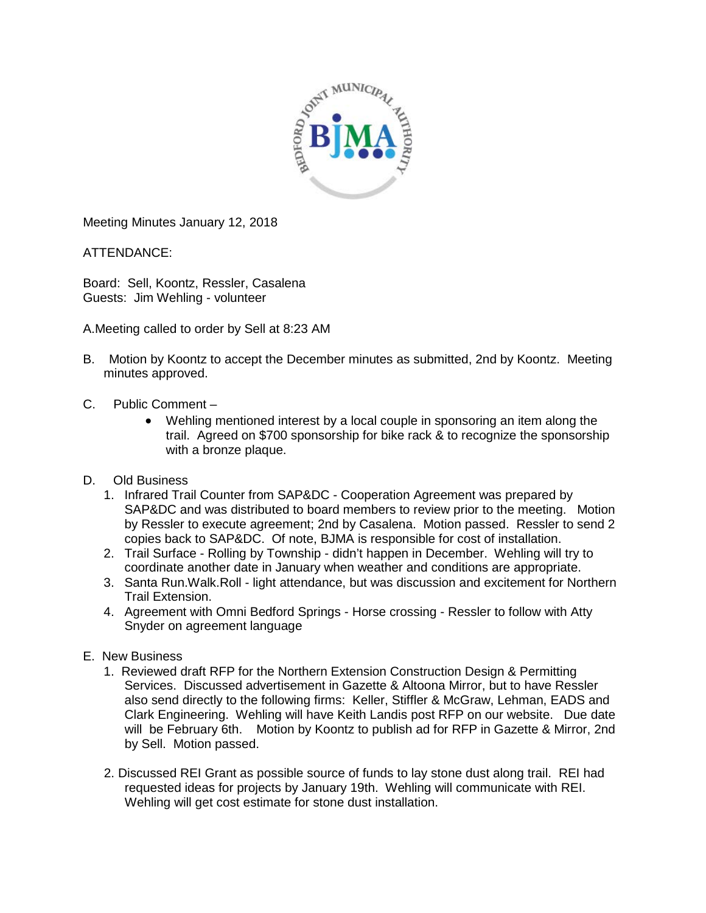

Meeting Minutes January 12, 2018

ATTENDANCE:

Board: Sell, Koontz, Ressler, Casalena Guests: Jim Wehling - volunteer

A.Meeting called to order by Sell at 8:23 AM

- B. Motion by Koontz to accept the December minutes as submitted, 2nd by Koontz. Meeting minutes approved.
- C. Public Comment
	- Wehling mentioned interest by a local couple in sponsoring an item along the trail. Agreed on \$700 sponsorship for bike rack & to recognize the sponsorship with a bronze plaque.
- D. Old Business
	- 1. Infrared Trail Counter from SAP&DC Cooperation Agreement was prepared by SAP&DC and was distributed to board members to review prior to the meeting. Motion by Ressler to execute agreement; 2nd by Casalena. Motion passed. Ressler to send 2 copies back to SAP&DC. Of note, BJMA is responsible for cost of installation.
	- 2. Trail Surface Rolling by Township didn't happen in December. Wehling will try to coordinate another date in January when weather and conditions are appropriate.
	- 3. Santa Run.Walk.Roll light attendance, but was discussion and excitement for Northern Trail Extension.
	- 4. Agreement with Omni Bedford Springs Horse crossing Ressler to follow with Atty Snyder on agreement language
- E. New Business
	- 1. Reviewed draft RFP for the Northern Extension Construction Design & Permitting Services. Discussed advertisement in Gazette & Altoona Mirror, but to have Ressler also send directly to the following firms: Keller, Stiffler & McGraw, Lehman, EADS and Clark Engineering. Wehling will have Keith Landis post RFP on our website. Due date will be February 6th. Motion by Koontz to publish ad for RFP in Gazette & Mirror, 2nd by Sell. Motion passed.
	- 2. Discussed REI Grant as possible source of funds to lay stone dust along trail. REI had requested ideas for projects by January 19th. Wehling will communicate with REI. Wehling will get cost estimate for stone dust installation.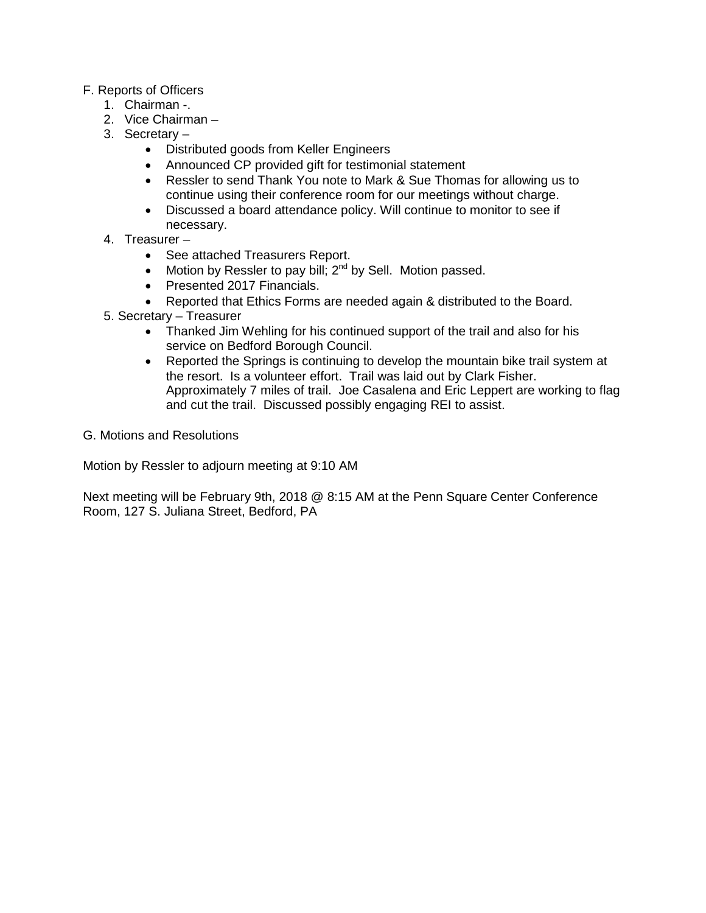## F. Reports of Officers

- 1. Chairman -.
- 2. Vice Chairman –
- 3. Secretary
	- Distributed goods from Keller Engineers
	- Announced CP provided gift for testimonial statement
	- Ressler to send Thank You note to Mark & Sue Thomas for allowing us to continue using their conference room for our meetings without charge.
	- Discussed a board attendance policy. Will continue to monitor to see if necessary.
- 4. Treasurer
	- See attached Treasurers Report.
	- Motion by Ressler to pay bill;  $2^{nd}$  by Sell. Motion passed.
	- Presented 2017 Financials.
	- Reported that Ethics Forms are needed again & distributed to the Board.
- 5. Secretary Treasurer
	- Thanked Jim Wehling for his continued support of the trail and also for his service on Bedford Borough Council.
	- Reported the Springs is continuing to develop the mountain bike trail system at the resort. Is a volunteer effort. Trail was laid out by Clark Fisher. Approximately 7 miles of trail. Joe Casalena and Eric Leppert are working to flag and cut the trail. Discussed possibly engaging REI to assist.
- G. Motions and Resolutions

Motion by Ressler to adjourn meeting at 9:10 AM

Next meeting will be February 9th, 2018 @ 8:15 AM at the Penn Square Center Conference Room, 127 S. Juliana Street, Bedford, PA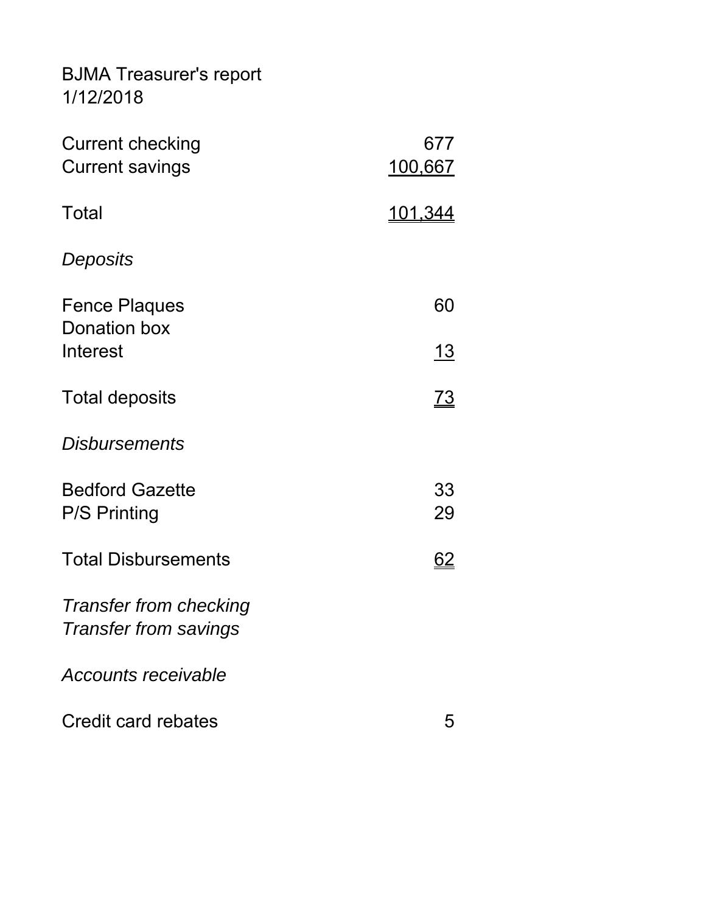BJMA Treasurer's report 1/12/2018

| <b>Current checking</b><br><b>Current savings</b>             | 677<br>100,667 |
|---------------------------------------------------------------|----------------|
| Total                                                         | <u>101.344</u> |
| Deposits                                                      |                |
| <b>Fence Plaques</b><br>Donation box                          | 60             |
| Interest                                                      | <u> 13</u>     |
| <b>Total deposits</b>                                         | <u>73</u>      |
| <b>Disbursements</b>                                          |                |
| <b>Bedford Gazette</b>                                        | 33<br>29       |
| <b>P/S Printing</b>                                           |                |
| <b>Total Disbursements</b>                                    | <u>62</u>      |
| <b>Transfer from checking</b><br><b>Transfer from savings</b> |                |
| <b>Accounts receivable</b>                                    |                |
| Credit card rebates                                           | 5              |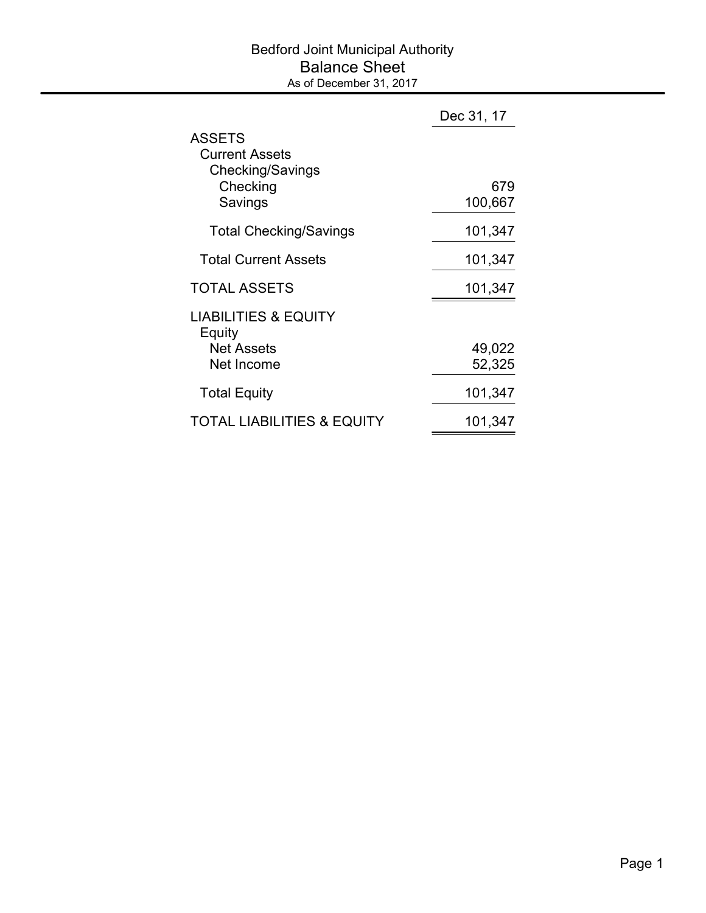## Bedford Joint Municipal Authority Balance Sheet As of December 31, 2017

|                                                                                   | Dec 31, 17       |
|-----------------------------------------------------------------------------------|------------------|
| <b>ASSETS</b><br><b>Current Assets</b><br>Checking/Savings<br>Checking<br>Savings | 679<br>100,667   |
| <b>Total Checking/Savings</b>                                                     | 101,347          |
| <b>Total Current Assets</b>                                                       | 101,347          |
| <b>TOTAL ASSETS</b>                                                               | 101,347          |
| <b>LIABILITIES &amp; EQUITY</b><br>Equity<br><b>Net Assets</b><br>Net Income      | 49,022<br>52,325 |
| <b>Total Equity</b>                                                               | 101,347          |
| <b>TOTAL LIABILITIES &amp; EQUITY</b>                                             | 101,347          |